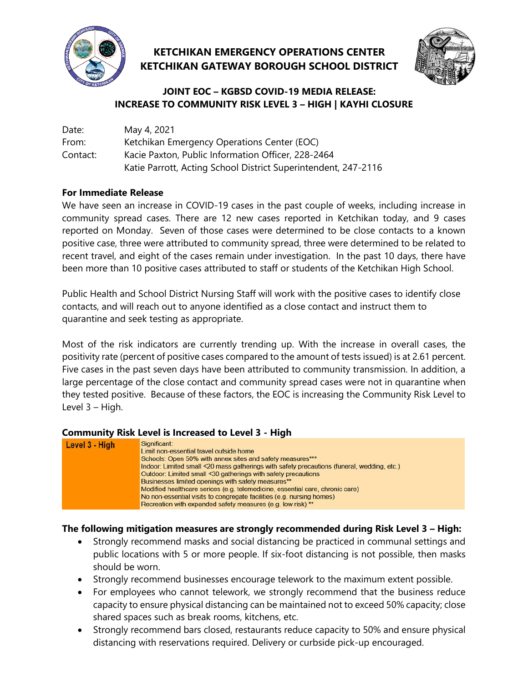

# **KETCHIKAN EMERGENCY OPERATIONS CENTER KETCHIKAN GATEWAY BOROUGH SCHOOL DISTRICT**



### **JOINT EOC – KGBSD COVID-19 MEDIA RELEASE: INCREASE TO COMMUNITY RISK LEVEL 3 – HIGH | KAYHI CLOSURE**

| Date:    | May 4, 2021                                                    |
|----------|----------------------------------------------------------------|
| From:    | Ketchikan Emergency Operations Center (EOC)                    |
| Contact: | Kacie Paxton, Public Information Officer, 228-2464             |
|          | Katie Parrott, Acting School District Superintendent, 247-2116 |

#### **For Immediate Release**

We have seen an increase in COVID-19 cases in the past couple of weeks, including increase in community spread cases. There are 12 new cases reported in Ketchikan today, and 9 cases reported on Monday. Seven of those cases were determined to be close contacts to a known positive case, three were attributed to community spread, three were determined to be related to recent travel, and eight of the cases remain under investigation. In the past 10 days, there have been more than 10 positive cases attributed to staff or students of the Ketchikan High School.

Public Health and School District Nursing Staff will work with the positive cases to identify close contacts, and will reach out to anyone identified as a close contact and instruct them to quarantine and seek testing as appropriate.

Most of the risk indicators are currently trending up. With the increase in overall cases, the positivity rate (percent of positive cases compared to the amount of tests issued) is at 2.61 percent. Five cases in the past seven days have been attributed to community transmission. In addition, a large percentage of the close contact and community spread cases were not in quarantine when they tested positive. Because of these factors, the EOC is increasing the Community Risk Level to Level 3 – High.

#### **Community Risk Level is Increased to Level 3 - High**



### **The following mitigation measures are strongly recommended during Risk Level 3 – High:**

- Strongly recommend masks and social distancing be practiced in communal settings and public locations with 5 or more people. If six-foot distancing is not possible, then masks should be worn.
- Strongly recommend businesses encourage telework to the maximum extent possible.
- For employees who cannot telework, we strongly recommend that the business reduce capacity to ensure physical distancing can be maintained not to exceed 50% capacity; close shared spaces such as break rooms, kitchens, etc.
- Strongly recommend bars closed, restaurants reduce capacity to 50% and ensure physical distancing with reservations required. Delivery or curbside pick-up encouraged.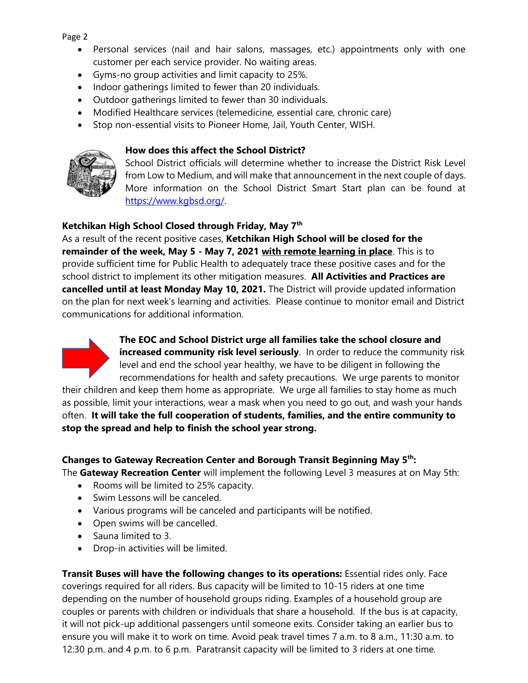Page 2

- Personal services (nail and hair salons, massages, etc.) appointments only with one customer per each service provider. No waiting areas.
- Gyms-no group activities and limit capacity to 25%.
- Indoor gatherings limited to fewer than 20 individuals.
- Outdoor gatherings limited to fewer than 30 individuals.
- Modified Healthcare services (telemedicine, essential care, chronic care)
- Stop non-essential visits to Pioneer Home, Jail, Youth Center, WISH.

#### **How does this affect the School District?**



School District officials will determine whether to increase the District Risk Level from Low to Medium, and will make that announcement in the next couple of days. More information on the School District Smart Start plan can be found at [https://www.kgbsd.org/.](https://www.kgbsd.org/)

#### **Ketchikan High School Closed through Friday, May 7th**

As a result of the recent positive cases, **Ketchikan High School will be closed for the remainder of the week, May 5 - May 7, 2021 with remote learning in place**. This is to provide sufficient time for Public Health to adequately trace these positive cases and for the school district to implement its other mitigation measures. **All Activities and Practices are cancelled until at least Monday May 10, 2021.** The District will provide updated information on the plan for next week's learning and activities. Please continue to monitor email and District communications for additional information.



**The EOC and School District urge all families take the school closure and increased community risk level seriously**. In order to reduce the community risk level and end the school year healthy, we have to be diligent in following the recommendations for health and safety precautions. We urge parents to monitor

their children and keep them home as appropriate. We urge all families to stay home as much as possible, limit your interactions, wear a mask when you need to go out, and wash your hands often. **It will take the full cooperation of students, families, and the entire community to stop the spread and help to finish the school year strong.**

#### **Changes to Gateway Recreation Center and Borough Transit Beginning May 5th:**

The **Gateway Recreation Center** will implement the following Level 3 measures at on May 5th:

- Rooms will be limited to 25% capacity.
- Swim Lessons will be canceled.
- Various programs will be canceled and participants will be notified.
- Open swims will be cancelled.
- Sauna limited to 3.
- Drop-in activities will be limited.

**Transit Buses will have the following changes to its operations:** Essential rides only. Face coverings required for all riders. Bus capacity will be limited to 10-15 riders at one time depending on the number of household groups riding. Examples of a household group are couples or parents with children or individuals that share a household. If the bus is at capacity, it will not pick-up additional passengers until someone exits. Consider taking an earlier bus to ensure you will make it to work on time. Avoid peak travel times 7 a.m. to 8 a.m., 11:30 a.m. to 12:30 p.m. and 4 p.m. to 6 p.m. Paratransit capacity will be limited to 3 riders at one time*.*